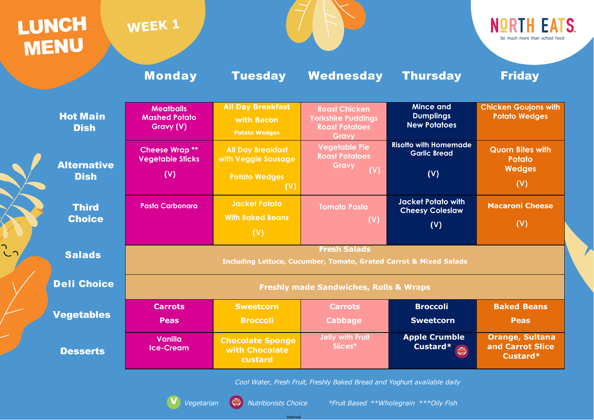Internal

V *Vegetarian Nutritionists Choice \*Fruit Based \*\*Wholegrain \*\*\*Oily Fish*



| LUNCH<br><b>MENU</b>           | WEEK 1                                                                                              |                                                                |                                                                                     | <b>NORTH EATS</b><br>So much more than school food          |                                                        |  |  |
|--------------------------------|-----------------------------------------------------------------------------------------------------|----------------------------------------------------------------|-------------------------------------------------------------------------------------|-------------------------------------------------------------|--------------------------------------------------------|--|--|
|                                | <b>Monday</b>                                                                                       | <b>Tuesday</b>                                                 | Wednesday                                                                           | <b>Thursday</b>                                             | <b>Friday</b>                                          |  |  |
| <b>Hot Main</b><br><b>Dish</b> | <b>Meatballs</b><br><b>Mashed Potato</b><br>Gravy (V)                                               | <b>All Day Breakfast</b><br>with Bacon<br><b>Potato Wedges</b> | <b>Roast Chicken</b><br><b>Yorkshire Puddings</b><br><b>Roast Potatoes</b><br>Gravy | <b>Mince and</b><br><b>Dumplings</b><br><b>New Potatoes</b> | <b>Chicken Goujons with</b><br><b>Potato Wedges</b>    |  |  |
| <b>Alternative</b>             | <b>Cheese Wrap **</b><br><b>Vegetable Sticks</b>                                                    | <b>All Day Breakfast</b><br>with Veggie Sausage                | <b>Vegetable Pie</b><br><b>Roast Potatoes</b><br><b>Gravy</b><br>(V)                | <b>Risotto with Homemade</b><br><b>Garlic Bread</b>         | <b>Quorn Bites with</b><br>Potato<br><b>Wedges</b>     |  |  |
| <b>Dish</b>                    | (V)                                                                                                 | <b>Potato Wedges</b><br>(V)                                    |                                                                                     | (V)                                                         | (V)                                                    |  |  |
| <b>Third</b>                   | <b>Pasta Carbonara</b>                                                                              | <b>Jacket Potato</b>                                           | <b>Tomato Pasta</b>                                                                 | <b>Jacket Potato with</b><br><b>Cheesy Coleslaw</b>         | <b>Macaroni Cheese</b>                                 |  |  |
| <b>Choice</b>                  |                                                                                                     | <b>With Baked Beans</b><br>(V)                                 | (V)                                                                                 | (V)                                                         | $(\vee)$                                               |  |  |
| <b>Salads</b>                  | <b>Fresh Salads</b><br><b>Including Lettuce, Cucumber, Tomato, Grated Carrot &amp; Mixed Salads</b> |                                                                |                                                                                     |                                                             |                                                        |  |  |
| <b>Deli Choice</b>             | <b>Freshly made Sandwiches, Rolls &amp; Wraps</b>                                                   |                                                                |                                                                                     |                                                             |                                                        |  |  |
|                                | <b>Carrots</b>                                                                                      | <b>Sweetcorn</b>                                               | <b>Carrots</b>                                                                      | <b>Broccoli</b>                                             | <b>Baked Beans</b>                                     |  |  |
| <b>Vegetables</b>              | <b>Peas</b>                                                                                         | <b>Broccoli</b>                                                | <b>Cabbage</b>                                                                      | <b>Sweetcorn</b>                                            | <b>Peas</b>                                            |  |  |
| <b>Desserts</b>                | <b>Vanilla</b><br><b>Ice-Cream</b>                                                                  | <b>Chocolate Sponge</b><br>with Chocolate<br>custard           | <b>Jelly with Fruit</b><br>Slices*                                                  | <b>Apple Crumble</b><br>Custard*                            | <b>Orange, Sultana</b><br>and Carrot Slice<br>Custard* |  |  |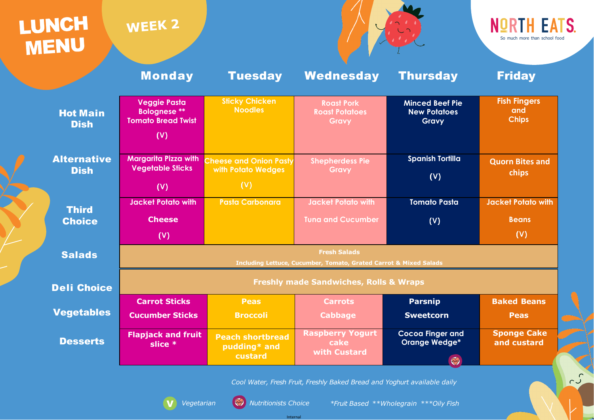# **LUNCH**<br>MENU

# WEEK<sub>2</sub>



Internal

*Cool Water, Fresh Fruit, Freshly Baked Bread and Yoghurt available daily*





 $\overline{c}$ 

|                                   | <b>Monday</b>                                                                                       | <b>Tuesday</b>                                             | Wednesday                                           | <b>Thursday</b>                                               | <b>Friday</b>                                    |  |  |
|-----------------------------------|-----------------------------------------------------------------------------------------------------|------------------------------------------------------------|-----------------------------------------------------|---------------------------------------------------------------|--------------------------------------------------|--|--|
| <b>Hot Main</b><br><b>Dish</b>    | <b>Veggie Pasta</b><br><b>Bolognese</b> **<br><b>Tomato Bread Twist</b><br>(V)                      | <b>Sticky Chicken</b><br><b>Noodles</b>                    | <b>Roast Pork</b><br><b>Roast Potatoes</b><br>Gravy | <b>Minced Beef Pie</b><br><b>New Potatoes</b><br><b>Gravy</b> | <b>Fish Fingers</b><br>and<br><b>Chips</b>       |  |  |
| <b>Alternative</b><br><b>Dish</b> | <b>Margarita Pizza with</b><br><b>Vegetable Sticks</b><br>(V)                                       | <b>Cheese and Onion Pasty</b><br>with Potato Wedges<br>(V) | <b>Shepherdess Pie</b><br>Gravy                     | <b>Spanish Tortilla</b><br>(V)                                | <b>Quorn Bites and</b><br><b>chips</b>           |  |  |
| <b>Third</b><br><b>Choice</b>     | <b>Jacket Potato with</b><br><b>Cheese</b><br>(V)                                                   | <b>Pasta Carbonara</b>                                     | Jacket Potato with<br><b>Tuna and Cucumber</b>      | <b>Tomato Pasta</b><br>(V)                                    | <b>Jacket Potato with</b><br><b>Beans</b><br>(V) |  |  |
| <b>Salads</b>                     | <b>Fresh Salads</b><br><b>Including Lettuce, Cucumber, Tomato, Grated Carrot &amp; Mixed Salads</b> |                                                            |                                                     |                                                               |                                                  |  |  |
| <b>Deli Choice</b>                | <b>Freshly made Sandwiches, Rolls &amp; Wraps</b>                                                   |                                                            |                                                     |                                                               |                                                  |  |  |
| <b>Vegetables</b>                 | <b>Carrot Sticks</b><br><b>Cucumber Sticks</b>                                                      | <b>Peas</b><br><b>Broccoli</b>                             | <b>Carrots</b><br><b>Cabbage</b>                    | <b>Parsnip</b><br><b>Sweetcorn</b>                            | <b>Baked Beans</b><br><b>Peas</b>                |  |  |
| <b>Desserts</b>                   | <b>Flapjack and fruit</b><br>slice *                                                                | <b>Peach shortbread</b><br>pudding* and<br>custard         | <b>Raspberry Yogurt</b><br>cake<br>with Custard     | <b>Cocoa Finger and</b><br><b>Orange Wedge*</b><br>$\bigcirc$ | <b>Sponge Cake</b><br>and custard                |  |  |